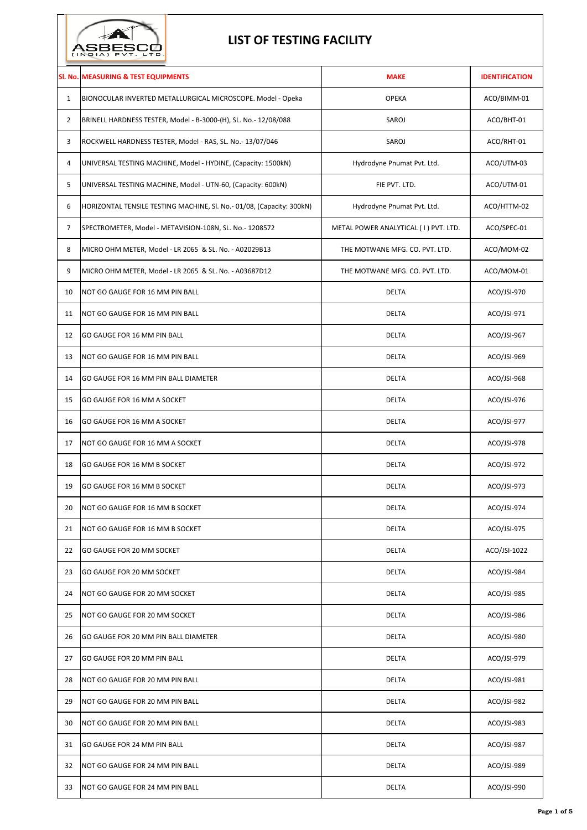

## **LIST OF TESTING FACILITY**

|                | SI. No. MEASURING & TEST EQUIPMENTS                                  | <b>MAKE</b>                          | <b>IDENTIFICATION</b> |
|----------------|----------------------------------------------------------------------|--------------------------------------|-----------------------|
| $\mathbf{1}$   | BIONOCULAR INVERTED METALLURGICAL MICROSCOPE. Model - Opeka          | <b>OPEKA</b>                         | ACO/BIMM-01           |
| $\overline{2}$ | BRINELL HARDNESS TESTER, Model - B-3000-(H), SL. No.- 12/08/088      | SAROJ                                | ACO/BHT-01            |
| 3              | ROCKWELL HARDNESS TESTER, Model - RAS, SL. No.- 13/07/046            | SAROJ                                | ACO/RHT-01            |
| 4              | UNIVERSAL TESTING MACHINE, Model - HYDINE, (Capacity: 1500kN)        | Hydrodyne Pnumat Pvt. Ltd.           | ACO/UTM-03            |
| 5              | UNIVERSAL TESTING MACHINE, Model - UTN-60, (Capacity: 600kN)         | FIE PVT. LTD.                        | ACO/UTM-01            |
| 6              | HORIZONTAL TENSILE TESTING MACHINE, SI. No.-01/08, (Capacity: 300kN) | Hydrodyne Pnumat Pvt. Ltd.           | ACO/HTTM-02           |
| 7              | SPECTROMETER, Model - METAVISION-108N, SL. No.- 1208572              | METAL POWER ANALYTICAL (I) PVT. LTD. | ACO/SPEC-01           |
| 8              | MICRO OHM METER, Model - LR 2065 & SL. No. - A02029B13               | THE MOTWANE MFG. CO. PVT. LTD.       | ACO/MOM-02            |
| 9              | MICRO OHM METER, Model - LR 2065 & SL. No. - A03687D12               | THE MOTWANE MFG. CO. PVT. LTD.       | ACO/MOM-01            |
| 10             | NOT GO GAUGE FOR 16 MM PIN BALL                                      | DELTA                                | ACO/JSI-970           |
| 11             | NOT GO GAUGE FOR 16 MM PIN BALL                                      | <b>DELTA</b>                         | ACO/JSI-971           |
| 12             | GO GAUGE FOR 16 MM PIN BALL                                          | <b>DELTA</b>                         | ACO/JSI-967           |
| 13             | NOT GO GAUGE FOR 16 MM PIN BALL                                      | <b>DELTA</b>                         | ACO/JSI-969           |
| 14             | GO GAUGE FOR 16 MM PIN BALL DIAMETER                                 | <b>DELTA</b>                         | ACO/JSI-968           |
| 15             | GO GAUGE FOR 16 MM A SOCKET                                          | <b>DELTA</b>                         | ACO/JSI-976           |
| 16             | GO GAUGE FOR 16 MM A SOCKET                                          | DELTA                                | ACO/JSI-977           |
| 17             | NOT GO GAUGE FOR 16 MM A SOCKET                                      | <b>DELTA</b>                         | ACO/JSI-978           |
| 18             | GO GAUGE FOR 16 MM B SOCKET                                          | <b>DELTA</b>                         | ACO/JSI-972           |
| 19             | GO GAUGE FOR 16 MM B SOCKET                                          | <b>DELTA</b>                         | ACO/JSI-973           |
| 20             | NOT GO GAUGE FOR 16 MM B SOCKET                                      | DELTA                                | ACO/JSI-974           |
| 21             | NOT GO GAUGE FOR 16 MM B SOCKET                                      | DELTA                                | ACO/JSI-975           |
| 22             | GO GAUGE FOR 20 MM SOCKET                                            | <b>DELTA</b>                         | ACO/JSI-1022          |
| 23             | GO GAUGE FOR 20 MM SOCKET                                            | DELTA                                | ACO/JSI-984           |
| 24             | NOT GO GAUGE FOR 20 MM SOCKET                                        | DELTA                                | ACO/JSI-985           |
| 25             | NOT GO GAUGE FOR 20 MM SOCKET                                        | DELTA                                | ACO/JSI-986           |
| 26             | GO GAUGE FOR 20 MM PIN BALL DIAMETER                                 | DELTA                                | ACO/JSI-980           |
| 27             | GO GAUGE FOR 20 MM PIN BALL                                          | DELTA                                | ACO/JSI-979           |
| 28             | NOT GO GAUGE FOR 20 MM PIN BALL                                      | <b>DELTA</b>                         | ACO/JSI-981           |
| 29             | NOT GO GAUGE FOR 20 MM PIN BALL                                      | DELTA                                | ACO/JSI-982           |
| 30             | NOT GO GAUGE FOR 20 MM PIN BALL                                      | DELTA                                | ACO/JSI-983           |
| 31             | GO GAUGE FOR 24 MM PIN BALL                                          | DELTA                                | ACO/JSI-987           |
| 32             | NOT GO GAUGE FOR 24 MM PIN BALL                                      | DELTA                                | ACO/JSI-989           |
| 33             | NOT GO GAUGE FOR 24 MM PIN BALL                                      | DELTA                                | ACO/JSI-990           |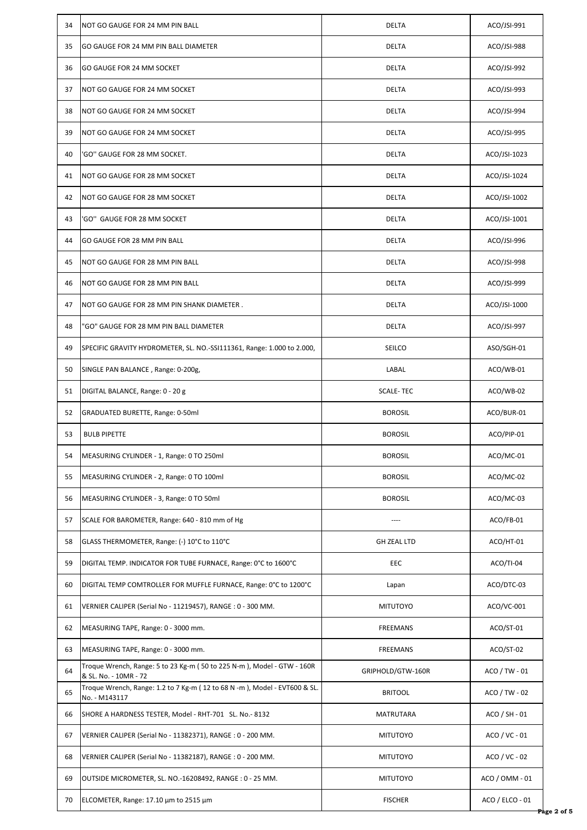| 34 | NOT GO GAUGE FOR 24 MM PIN BALL                                                                 | <b>DELTA</b>       | ACO/JSI-991     |
|----|-------------------------------------------------------------------------------------------------|--------------------|-----------------|
| 35 | GO GAUGE FOR 24 MM PIN BALL DIAMETER                                                            | <b>DELTA</b>       | ACO/JSI-988     |
| 36 | GO GAUGE FOR 24 MM SOCKET                                                                       | <b>DELTA</b>       | ACO/JSI-992     |
| 37 | NOT GO GAUGE FOR 24 MM SOCKET                                                                   | <b>DELTA</b>       | ACO/JSI-993     |
| 38 | NOT GO GAUGE FOR 24 MM SOCKET                                                                   | <b>DELTA</b>       | ACO/JSI-994     |
| 39 | NOT GO GAUGE FOR 24 MM SOCKET                                                                   | <b>DELTA</b>       | ACO/JSI-995     |
| 40 | 'GO" GAUGE FOR 28 MM SOCKET.                                                                    | <b>DELTA</b>       | ACO/JSI-1023    |
| 41 | NOT GO GAUGE FOR 28 MM SOCKET                                                                   | <b>DELTA</b>       | ACO/JSI-1024    |
| 42 | NOT GO GAUGE FOR 28 MM SOCKET                                                                   | <b>DELTA</b>       | ACO/JSI-1002    |
| 43 | 'GO'' GAUGE FOR 28 MM SOCKET                                                                    | <b>DELTA</b>       | ACO/JSI-1001    |
| 44 | GO GAUGE FOR 28 MM PIN BALL                                                                     | <b>DELTA</b>       | ACO/JSI-996     |
| 45 | NOT GO GAUGE FOR 28 MM PIN BALL                                                                 | <b>DELTA</b>       | ACO/JSI-998     |
| 46 | NOT GO GAUGE FOR 28 MM PIN BALL                                                                 | <b>DELTA</b>       | ACO/JSI-999     |
| 47 | NOT GO GAUGE FOR 28 MM PIN SHANK DIAMETER.                                                      | <b>DELTA</b>       | ACO/JSI-1000    |
| 48 | "GO" GAUGE FOR 28 MM PIN BALL DIAMETER                                                          | <b>DELTA</b>       | ACO/JSI-997     |
| 49 | SPECIFIC GRAVITY HYDROMETER, SL. NO.-SSI111361, Range: 1.000 to 2.000,                          | SEILCO             | ASO/SGH-01      |
| 50 | SINGLE PAN BALANCE, Range: 0-200g,                                                              | LABAL              | ACO/WB-01       |
| 51 | DIGITAL BALANCE, Range: 0 - 20 g                                                                | <b>SCALE-TEC</b>   | ACO/WB-02       |
| 52 | GRADUATED BURETTE, Range: 0-50ml                                                                | <b>BOROSIL</b>     | ACO/BUR-01      |
| 53 | <b>BULB PIPETTE</b>                                                                             | <b>BOROSIL</b>     | ACO/PIP-01      |
| 54 | MEASURING CYLINDER - 1, Range: 0 TO 250ml                                                       | <b>BOROSIL</b>     | ACO/MC-01       |
| 55 | MEASURING CYLINDER - 2, Range: 0 TO 100ml                                                       | <b>BOROSIL</b>     | ACO/MC-02       |
| 56 | MEASURING CYLINDER - 3, Range: 0 TO 50ml                                                        | <b>BOROSIL</b>     | ACO/MC-03       |
| 57 | SCALE FOR BAROMETER, Range: 640 - 810 mm of Hg                                                  | $---$              | ACO/FB-01       |
| 58 | GLASS THERMOMETER, Range: (-) 10°C to 110°C                                                     | <b>GH ZEAL LTD</b> | ACO/HT-01       |
| 59 | DIGITAL TEMP. INDICATOR FOR TUBE FURNACE, Range: 0°C to 1600°C                                  | EEC                | ACO/TI-04       |
| 60 | DIGITAL TEMP COMTROLLER FOR MUFFLE FURNACE, Range: 0°C to 1200°C                                | Lapan              | ACO/DTC-03      |
| 61 | VERNIER CALIPER (Serial No - 11219457), RANGE : 0 - 300 MM.                                     | <b>MITUTOYO</b>    | ACO/VC-001      |
| 62 | MEASURING TAPE, Range: 0 - 3000 mm.                                                             | <b>FREEMANS</b>    | ACO/ST-01       |
| 63 | MEASURING TAPE, Range: 0 - 3000 mm.                                                             | <b>FREEMANS</b>    | ACO/ST-02       |
| 64 | Troque Wrench, Range: 5 to 23 Kg-m (50 to 225 N-m), Model - GTW - 160R<br>& SL. No. - 10MR - 72 | GRIPHOLD/GTW-160R  | $ACO / TW - 01$ |
| 65 | Troque Wrench, Range: 1.2 to 7 Kg-m (12 to 68 N -m), Model - EVT600 & SL.<br>No. - M143117      | <b>BRITOOL</b>     | $ACO / TW - 02$ |
| 66 | SHORE A HARDNESS TESTER, Model - RHT-701 SL. No.-8132                                           | <b>MATRUTARA</b>   | $ACO / SH - 01$ |
| 67 | VERNIER CALIPER (Serial No - 11382371), RANGE : 0 - 200 MM.                                     | <b>MITUTOYO</b>    | $ACO / VC - 01$ |
| 68 | VERNIER CALIPER (Serial No - 11382187), RANGE : 0 - 200 MM.                                     | <b>MITUTOYO</b>    | ACO / VC - 02   |
| 69 | OUTSIDE MICROMETER, SL. NO.-16208492, RANGE: 0 - 25 MM.                                         | <b>MITUTOYO</b>    | ACO / OMM - 01  |
| 70 | ELCOMETER, Range: 17.10 µm to 2515 µm                                                           | <b>FISCHER</b>     | ACO / ELCO - 01 |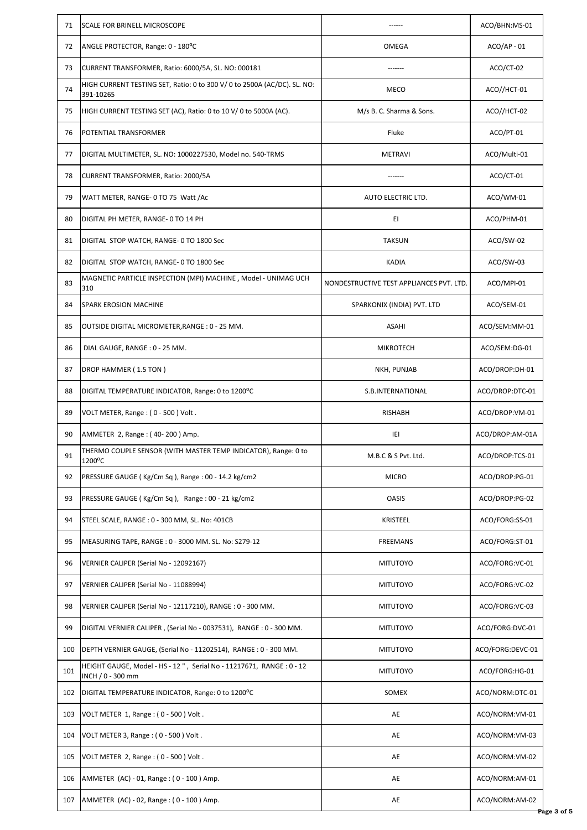| 71  | SCALE FOR BRINELL MICROSCOPE                                                              |                                          | ACO/BHN:MS-01    |
|-----|-------------------------------------------------------------------------------------------|------------------------------------------|------------------|
| 72  | ANGLE PROTECTOR, Range: 0 - 180°C                                                         | OMEGA                                    | $ACO/AP - 01$    |
| 73  | CURRENT TRANSFORMER, Ratio: 6000/5A, SL. NO: 000181                                       |                                          | ACO/CT-02        |
| 74  | HIGH CURRENT TESTING SET, Ratio: 0 to 300 V/ 0 to 2500A (AC/DC). SL. NO:<br>391-10265     | <b>MECO</b>                              | ACO//HCT-01      |
| 75  | HIGH CURRENT TESTING SET (AC), Ratio: 0 to 10 V/0 to 5000A (AC).                          | M/s B. C. Sharma & Sons.                 | ACO//HCT-02      |
| 76  | POTENTIAL TRANSFORMER                                                                     | Fluke                                    | ACO/PT-01        |
| 77  | DIGITAL MULTIMETER, SL. NO: 1000227530, Model no. 540-TRMS                                | <b>METRAVI</b>                           | ACO/Multi-01     |
| 78  | CURRENT TRANSFORMER, Ratio: 2000/5A                                                       |                                          | ACO/CT-01        |
| 79  | WATT METER, RANGE- 0 TO 75 Watt /Ac                                                       | AUTO ELECTRIC LTD.                       | ACO/WM-01        |
| 80  | DIGITAL PH METER, RANGE- 0 TO 14 PH                                                       | EI                                       | ACO/PHM-01       |
| 81  | DIGITAL STOP WATCH, RANGE- 0 TO 1800 Sec                                                  | <b>TAKSUN</b>                            | ACO/SW-02        |
| 82  | DIGITAL STOP WATCH, RANGE- 0 TO 1800 Sec                                                  | <b>KADIA</b>                             | ACO/SW-03        |
| 83  | MAGNETIC PARTICLE INSPECTION (MPI) MACHINE, Model - UNIMAG UCH<br>310                     | NONDESTRUCTIVE TEST APPLIANCES PVT. LTD. | ACO/MPI-01       |
| 84  | <b>SPARK EROSION MACHINE</b>                                                              | SPARKONIX (INDIA) PVT. LTD               | ACO/SEM-01       |
| 85  | OUTSIDE DIGITAL MICROMETER, RANGE: 0 - 25 MM.                                             | <b>ASAHI</b>                             | ACO/SEM:MM-01    |
| 86  | DIAL GAUGE, RANGE : 0 - 25 MM.                                                            | <b>MIKROTECH</b>                         | ACO/SEM:DG-01    |
| 87  | DROP HAMMER (1.5 TON)                                                                     | NKH, PUNJAB                              | ACO/DROP:DH-01   |
| 88  | DIGITAL TEMPERATURE INDICATOR, Range: 0 to 1200°C                                         | S.B.INTERNATIONAL                        | ACO/DROP:DTC-01  |
| 89  | VOLT METER, Range: (0 - 500) Volt.                                                        | <b>RISHABH</b>                           | ACO/DROP:VM-01   |
| 90  | AMMETER 2, Range : (40-200) Amp.                                                          | IEI                                      | ACO/DROP:AM-01A  |
| 91  | THERMO COUPLE SENSOR (WITH MASTER TEMP INDICATOR), Range: 0 to<br>1200°C                  | M.B.C & S Pvt. Ltd.                      | ACO/DROP:TCS-01  |
| 92  | PRESSURE GAUGE (Kg/Cm Sq), Range: 00 - 14.2 kg/cm2                                        | <b>MICRO</b>                             | ACO/DROP:PG-01   |
| 93  | PRESSURE GAUGE (Kg/Cm Sq), Range: 00 - 21 kg/cm2                                          | <b>OASIS</b>                             | ACO/DROP:PG-02   |
| 94  | STEEL SCALE, RANGE: 0 - 300 MM, SL. No: 401CB                                             | <b>KRISTEEL</b>                          | ACO/FORG:SS-01   |
| 95  | MEASURING TAPE, RANGE: 0 - 3000 MM. SL. No: S279-12                                       | <b>FREEMANS</b>                          | ACO/FORG:ST-01   |
| 96  | VERNIER CALIPER (Serial No - 12092167)                                                    | <b>MITUTOYO</b>                          | ACO/FORG:VC-01   |
| 97  | VERNIER CALIPER (Serial No - 11088994)                                                    | <b>MITUTOYO</b>                          | ACO/FORG:VC-02   |
| 98  | VERNIER CALIPER (Serial No - 12117210), RANGE : 0 - 300 MM.                               | <b>MITUTOYO</b>                          | ACO/FORG:VC-03   |
| 99  | DIGITAL VERNIER CALIPER, (Serial No - 0037531), RANGE : 0 - 300 MM.                       | <b>MITUTOYO</b>                          | ACO/FORG:DVC-01  |
| 100 | DEPTH VERNIER GAUGE, (Serial No - 11202514), RANGE: 0 - 300 MM.                           | <b>MITUTOYO</b>                          | ACO/FORG:DEVC-01 |
| 101 | HEIGHT GAUGE, Model - HS - 12", Serial No - 11217671, RANGE : 0 - 12<br>INCH / 0 - 300 mm | <b>MITUTOYO</b>                          | ACO/FORG:HG-01   |
| 102 | DIGITAL TEMPERATURE INDICATOR, Range: 0 to 1200°C                                         | SOMEX                                    | ACO/NORM:DTC-01  |
| 103 | VOLT METER 1, Range: (0 - 500) Volt.                                                      | AE                                       | ACO/NORM:VM-01   |
| 104 | VOLT METER 3, Range: (0 - 500) Volt.                                                      | AE                                       | ACO/NORM:VM-03   |
| 105 | VOLT METER 2, Range: (0 - 500) Volt.                                                      | AE                                       | ACO/NORM:VM-02   |
| 106 | AMMETER (AC) - 01, Range : (0 - 100) Amp.                                                 | AE                                       | ACO/NORM:AM-01   |
| 107 | AMMETER (AC) - 02, Range : (0 - 100 ) Amp.                                                | AE                                       | ACO/NORM:AM-02   |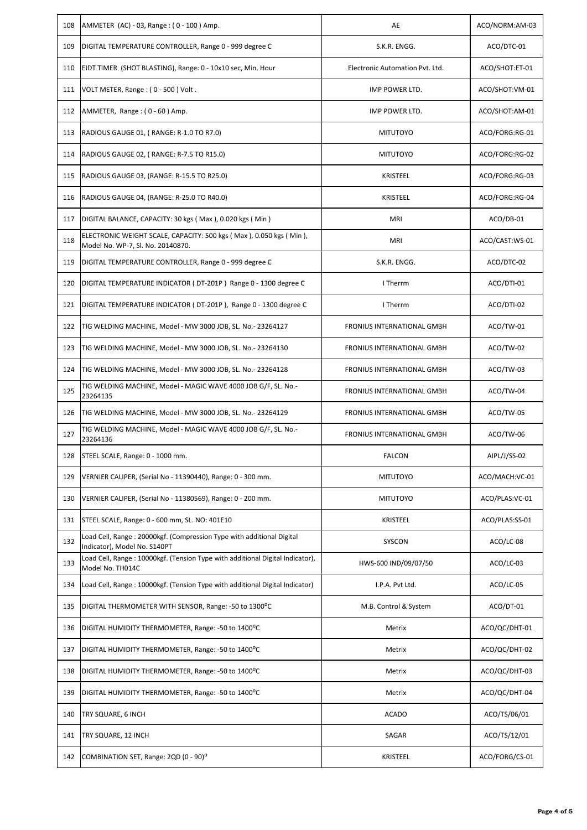| 108 | AMMETER (AC) - 03, Range : (0 - 100) Amp.                                                               | AE                              | ACO/NORM:AM-03 |
|-----|---------------------------------------------------------------------------------------------------------|---------------------------------|----------------|
| 109 | DIGITAL TEMPERATURE CONTROLLER, Range 0 - 999 degree C                                                  | S.K.R. ENGG.                    | ACO/DTC-01     |
| 110 | EIDT TIMER (SHOT BLASTING), Range: 0 - 10x10 sec, Min. Hour                                             | Electronic Automation Pvt. Ltd. | ACO/SHOT:ET-01 |
| 111 | VOLT METER, Range: (0 - 500) Volt.                                                                      | IMP POWER LTD.                  | ACO/SHOT:VM-01 |
| 112 | AMMETER, Range: (0 - 60) Amp.                                                                           | IMP POWER LTD.                  | ACO/SHOT:AM-01 |
| 113 | RADIOUS GAUGE 01, (RANGE: R-1.0 TO R7.0)                                                                | <b>MITUTOYO</b>                 | ACO/FORG:RG-01 |
| 114 | RADIOUS GAUGE 02, (RANGE: R-7.5 TO R15.0)                                                               | <b>MITUTOYO</b>                 | ACO/FORG:RG-02 |
| 115 | RADIOUS GAUGE 03, (RANGE: R-15.5 TO R25.0)                                                              | KRISTEEL                        | ACO/FORG:RG-03 |
| 116 | RADIOUS GAUGE 04, (RANGE: R-25.0 TO R40.0)                                                              | <b>KRISTEEL</b>                 | ACO/FORG:RG-04 |
| 117 | DIGITAL BALANCE, CAPACITY: 30 kgs (Max), 0.020 kgs (Min)                                                | <b>MRI</b>                      | ACO/DB-01      |
| 118 | ELECTRONIC WEIGHT SCALE, CAPACITY: 500 kgs (Max), 0.050 kgs (Min),<br>Model No. WP-7, Sl. No. 20140870. | <b>MRI</b>                      | ACO/CAST:WS-01 |
| 119 | DIGITAL TEMPERATURE CONTROLLER, Range 0 - 999 degree C                                                  | S.K.R. ENGG.                    | ACO/DTC-02     |
| 120 | DIGITAL TEMPERATURE INDICATOR (DT-201P) Range 0 - 1300 degree C                                         | I Therrm                        | ACO/DTI-01     |
| 121 | DIGITAL TEMPERATURE INDICATOR (DT-201P), Range 0 - 1300 degree C                                        | I Therrm                        | ACO/DTI-02     |
| 122 | TIG WELDING MACHINE, Model - MW 3000 JOB, SL. No.- 23264127                                             | FRONIUS INTERNATIONAL GMBH      | ACO/TW-01      |
| 123 | TIG WELDING MACHINE, Model - MW 3000 JOB, SL. No.- 23264130                                             | FRONIUS INTERNATIONAL GMBH      | ACO/TW-02      |
| 124 | TIG WELDING MACHINE, Model - MW 3000 JOB, SL. No.- 23264128                                             | FRONIUS INTERNATIONAL GMBH      | ACO/TW-03      |
| 125 | TIG WELDING MACHINE, Model - MAGIC WAVE 4000 JOB G/F, SL. No.-<br>23264135                              | FRONIUS INTERNATIONAL GMBH      | ACO/TW-04      |
| 126 | TIG WELDING MACHINE, Model - MW 3000 JOB, SL. No.- 23264129                                             | FRONIUS INTERNATIONAL GMBH      | ACO/TW-05      |
| 127 | TIG WELDING MACHINE, Model - MAGIC WAVE 4000 JOB G/F, SL. No.-<br>23264136                              | FRONIUS INTERNATIONAL GMBH      | ACO/TW-06      |
|     | 128 STEEL SCALE, Range: 0 - 1000 mm.                                                                    | <b>FALCON</b>                   | AIPL/J/SS-02   |
| 129 | VERNIER CALIPER, (Serial No - 11390440), Range: 0 - 300 mm.                                             | <b>MITUTOYO</b>                 | ACO/MACH:VC-01 |
| 130 | VERNIER CALIPER, (Serial No - 11380569), Range: 0 - 200 mm.                                             | <b>MITUTOYO</b>                 | ACO/PLAS:VC-01 |
| 131 | STEEL SCALE, Range: 0 - 600 mm, SL. NO: 401E10                                                          | KRISTEEL                        | ACO/PLAS:SS-01 |
| 132 | Load Cell, Range : 20000kgf. (Compression Type with additional Digital<br>Indicator), Model No. S140PT  | SYSCON                          | ACO/LC-08      |
| 133 | Load Cell, Range: 10000kgf. (Tension Type with additional Digital Indicator),<br>Model No. TH014C       | HWS-600 IND/09/07/50            | ACO/LC-03      |
| 134 | Load Cell, Range: 10000kgf. (Tension Type with additional Digital Indicator)                            | I.P.A. Pvt Ltd.                 | ACO/LC-05      |
| 135 | DIGITAL THERMOMETER WITH SENSOR, Range: -50 to 1300°C                                                   | M.B. Control & System           | ACO/DT-01      |
| 136 | DIGITAL HUMIDITY THERMOMETER, Range: -50 to 1400°C                                                      | Metrix                          | ACO/QC/DHT-01  |
| 137 | DIGITAL HUMIDITY THERMOMETER, Range: -50 to 1400°C                                                      | Metrix                          | ACO/QC/DHT-02  |
| 138 | DIGITAL HUMIDITY THERMOMETER, Range: -50 to 1400°C                                                      | Metrix                          | ACO/QC/DHT-03  |
| 139 | DIGITAL HUMIDITY THERMOMETER, Range: -50 to 1400°C                                                      | Metrix                          | ACO/QC/DHT-04  |
| 140 | TRY SQUARE, 6 INCH                                                                                      | <b>ACADO</b>                    | ACO/TS/06/01   |
| 141 | TRY SQUARE, 12 INCH                                                                                     | SAGAR                           | ACO/TS/12/01   |
| 142 | COMBINATION SET, Range: 2QD (0 - 90) <sup>o</sup>                                                       | KRISTEEL                        | ACO/FORG/CS-01 |